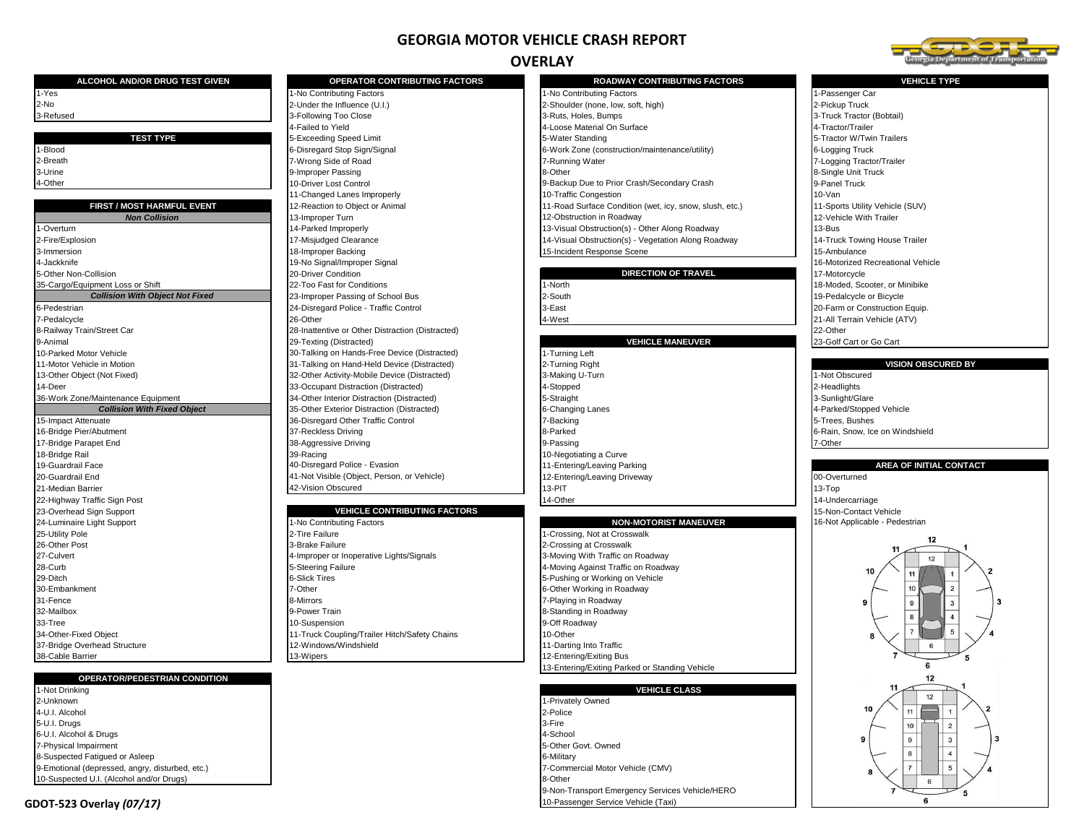# **GEORGIA MOTOR VEHICLE CRASH REPORT**

## **OVERLAY**

9-Non-Transport Emergency Services Vehicle/HERO



| ALCOHOL AND/OR DRUG TEST GIVEN                                           | <b>OPERATOR CONTRIBUTING FACTORS</b>                                        | <b>ROADWAY CONTRIBUTING FACTORS</b>                     | <b>VEHICLE TYPE</b>               |
|--------------------------------------------------------------------------|-----------------------------------------------------------------------------|---------------------------------------------------------|-----------------------------------|
| 1-Yes                                                                    | 1-No Contributing Factors                                                   | 1-No Contributing Factors                               | 1-Passenger Car                   |
| 2-No                                                                     | 2-Under the Influence (U.I.)                                                | 2-Shoulder (none, low, soft, high)                      | 2-Pickup Truck                    |
| 3-Refused                                                                | 3-Following Too Close                                                       | 3-Ruts, Holes, Bumps                                    | 3-Truck Tractor (Bobtail)         |
|                                                                          | 4-Failed to Yield                                                           | 4-Loose Material On Surface                             | 4-Tractor/Trailer                 |
| <b>TEST TYPE</b>                                                         | 5-Exceeding Speed Limit                                                     | 5-Water Standing                                        | 5-Tractor W/Twin Trailers         |
| 1-Blood                                                                  | 6-Disregard Stop Sign/Signal                                                | 6-Work Zone (construction/maintenance/utility)          | 6-Logging Truck                   |
| 2-Breath                                                                 | 7-Wrong Side of Road                                                        | 7-Running Water                                         | 7-Logging Tractor/Trailer         |
| 3-Urine                                                                  | 9-Improper Passing                                                          | 8-Other                                                 | 8-Single Unit Truck               |
| 4-Other                                                                  | 10-Driver Lost Control                                                      | 9-Backup Due to Prior Crash/Secondary Crash             | 9-Panel Truck                     |
|                                                                          | 11-Changed Lanes Improperly                                                 | 10-Traffic Congestion                                   | 10-Van                            |
| FIRST / MOST HARMFUL EVENT                                               | 12-Reaction to Object or Animal                                             | 11-Road Surface Condition (wet, icy, snow, slush, etc.) | 11-Sports Utility Vehicle (SUV)   |
| <b>Non Collision</b>                                                     | 13-Improper Turn                                                            | 12-Obstruction in Roadway                               | 12-Vehicle With Trailer           |
| -Overturn                                                                | 14-Parked Improperly                                                        | 13-Visual Obstruction(s) - Other Along Roadway          | 13-Bus                            |
| 2-Fire/Explosion                                                         | 17-Misjudged Clearance                                                      | 14-Visual Obstruction(s) - Vegetation Along Roadway     | 14-Truck Towing House Trailer     |
| 3-Immersion                                                              | 18-Improper Backing                                                         | 15-Incident Response Scene                              | 15-Ambulance                      |
| 4-Jackknife                                                              | 19-No Signal/Improper Signal                                                |                                                         | 16-Motorized Recreational Vehicle |
| 5-Other Non-Collision                                                    | 20-Driver Condition                                                         | <b>DIRECTION OF TRAVEL</b>                              | 17-Motorcycle                     |
| 35-Cargo/Equipment Loss or Shift                                         | 22-Too Fast for Conditions                                                  | 1-North                                                 | 18-Moded, Scooter, or Minibike    |
| <b>Collision With Object Not Fixed</b>                                   | 23-Improper Passing of School Bus                                           | 2-South                                                 | 19-Pedalcycle or Bicycle          |
| 6-Pedestrian                                                             | 24-Disregard Police - Traffic Control                                       | 3-East                                                  | 20-Farm or Construction Equip.    |
| 7-Pedalcycle                                                             | 26-Other                                                                    | 4-West                                                  | 21-All Terrain Vehicle (ATV)      |
|                                                                          |                                                                             |                                                         | 22-Other                          |
| 8-Railway Train/Street Car<br>9-Animal                                   | 28-Inattentive or Other Distraction (Distracted)<br>29-Texting (Distracted) | <b>VEHICLE MANEUVER</b>                                 |                                   |
|                                                                          |                                                                             |                                                         | 23-Golf Cart or Go Cart           |
| 10-Parked Motor Vehicle                                                  | 30-Talking on Hands-Free Device (Distracted)                                | 1-Turning Left                                          | <b>VISION OBSCURED BY</b>         |
| 11-Motor Vehicle in Motion                                               | 31-Talking on Hand-Held Device (Distracted)                                 | 2-Turning Right                                         |                                   |
| 13-Other Object (Not Fixed)<br>14-Deer                                   | 32-Other Activity-Mobile Device (Distracted)                                | 3-Making U-Turn<br>4-Stopped                            | 1-Not Obscured                    |
|                                                                          | 33-Occupant Distraction (Distracted)                                        |                                                         | 2-Headlights                      |
| 36-Work Zone/Maintenance Equipment<br><b>Collision With Fixed Object</b> | 34-Other Interior Distraction (Distracted)                                  | 5-Straight                                              | 3-Sunlight/Glare                  |
|                                                                          | 35-Other Exterior Distraction (Distracted)                                  | 6-Changing Lanes                                        | 4-Parked/Stopped Vehicle          |
| 15-Impact Attenuate                                                      | 36-Disregard Other Traffic Control                                          | 7-Backing                                               | 5-Trees. Bushes                   |
| 16-Bridge Pier/Abutment                                                  | 37-Reckless Driving                                                         | 8-Parked                                                | 6-Rain, Snow, Ice on Windshield   |
| 17-Bridge Parapet End                                                    | 38-Aggressive Driving                                                       | 9-Passing                                               | 7-Other                           |
| 18-Bridge Rail                                                           | 39-Racing                                                                   | 10-Negotiating a Curve                                  |                                   |
| 19-Guardrail Face                                                        | 40-Disregard Police - Evasion                                               | 11-Entering/Leaving Parking                             | <b>AREA OF INITIAL CONTA</b>      |
| 20-Guardrail End                                                         | 41-Not Visible (Object, Person, or Vehicle)                                 | 12-Entering/Leaving Driveway                            | 00-Overturned                     |
| 21-Median Barrier                                                        | 42-Vision Obscured                                                          | 13-PIT                                                  | 13-Top                            |
| 22-Highway Traffic Sign Post                                             |                                                                             | 14-Other                                                | 14-Undercarriage                  |
| 23-Overhead Sign Support                                                 | <b>VEHICLE CONTRIBUTING FACTORS</b>                                         |                                                         | 15-Non-Contact Vehicle            |
| 24-Luminaire Light Support                                               | 1-No Contributing Factors                                                   | <b>NON-MOTORIST MANEUVER</b>                            | 16-Not Applicable - Pedestrian    |
| 25-Utility Pole                                                          | 2-Tire Failure                                                              | 1-Crossing, Not at Crosswalk                            | 12                                |
| 26-Other Post                                                            | 3-Brake Failure                                                             | 2-Crossing at Crosswalk                                 | 11                                |
| 27-Culvert                                                               | 4-Improper or Inoperative Lights/Signals                                    | 3-Moving With Traffic on Roadway                        | 12                                |
| 28-Curb                                                                  | 5-Steering Failure                                                          | 4-Moving Against Traffic on Roadway                     | 10                                |
| 29-Ditch                                                                 | <b>6-Slick Tires</b>                                                        | 5-Pushing or Working on Vehicle                         |                                   |
| 30-Embankment                                                            | 7-Other                                                                     | 6-Other Working in Roadway                              | 10<br>$\overline{2}$              |
| 31-Fence                                                                 | 8-Mirrors                                                                   | 7-Playing in Roadway                                    | $\mathbf{q}$<br>$\mathbf{3}$<br>9 |
| 32-Mailbox                                                               | 9-Power Train                                                               | 8-Standing in Roadway                                   | 8<br>$\overline{4}$               |
| 33-Tree                                                                  | 10-Suspension                                                               | 9-Off Roadway                                           |                                   |
|                                                                          |                                                                             | 10-Other                                                |                                   |
| 34-Other-Fixed Object                                                    | 11-Truck Coupling/Trailer Hitch/Safety Chains                               |                                                         |                                   |
| 37-Bridge Overhead Structure<br>38-Cable Barrier                         | 12-Windows/Windshield<br>13-Wipers                                          | 11-Darting Into Traffic<br>12-Entering/Exiting Bus      | 6                                 |

# 3-Truck Tractor (Bobtail)<br>4-Tractor/Trailer 5-Tractor W/Twin Trailers<br>6-Logging Truck 7-Logging Tractor/Trailer<br>8-Single Unit Truck **FIRST 12-Reaction in Animal 11-Sports Utility Vehicle (SUV)** 12-Vehicle With Trailer ay **17-Exploring 17-Truck Towing House Trailer** 16-Motorized Recreational Vehicle<br>17-Motorcycle 18-Moded, Scooter, or Minibike 19-Pedalcycle or Bicycle 20-Farm or Construction Equip. 21-All Terrain Vehicle (ATV)<br>22-Other

### **AREA OF INITIAL CONTACT**



1-Not Drinking **VEHICLE CLASS** 2-Unknown (1-Privately Owned)<br>4-U.I. Alcohol (2-Privately Owned) (2-Privately Owned) (2-Privately Owned) (2-Privately Owned) (2-Privately Owned) 4-U.I. Alcohol 2-Police 5-U.I. Drugs 3-Fire and the set of the set of the set of the set of the set of the set of the set of the set of the set of the set of the set of the set of the set of the set of the set of the set of the set of the set of 6-U.I. Alcohol & Drugs 4-School 7-Physical Impairment 8-Suspected Fatigued or Asleep 6-Military 6-Military 6-Military 6-Military 6-Military 6-Military 6-Military 6-Military 6-Military 6-Military 6-Military 6-Military 6-Military 6-Military 6-Military 6-Military 6-Military 6-Mi 9-Emotional (depressed, angry, disturbed, etc.) 7-Commercial Motor Vehicle (CMV) 10-Suspected U.I. (Alcohol and/or Drugs) 8-Other